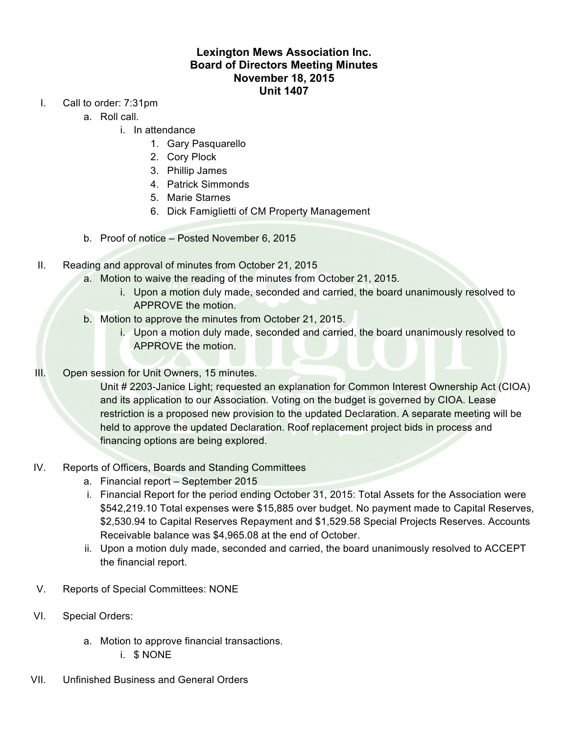## **Lexington Mews Association Inc. Board of Directors Meeting Minutes November 18, 2015 Unit 1407**

- I. Call to order: 7:31pm
	- a. Roll call.
		- i. In attendance
			- 1. Gary Pasquarello
			- 2. Cory Plock
			- 3. Phillip James
			- 4. Patrick Simmonds
			- 5. Marie Starnes
			- 6. Dick Famiglietti of CM Property Management
	- b. Proof of notice Posted November 6, 2015
- II. Reading and approval of minutes from October 21, 2015
	- a. Motion to waive the reading of the minutes from October 21, 2015.
		- i. Upon a motion duly made, seconded and carried, the board unanimously resolved to APPROVE the motion.
	- b. Motion to approve the minutes from October 21, 2015.
		- i. Upon a motion duly made, seconded and carried, the board unanimously resolved to APPROVE the motion.
- III. Open session for Unit Owners, 15 minutes.

Unit # 2203-Janice Light; requested an explanation for Common Interest Ownership Act (CIOA) and its application to our Association. Voting on the budget is governed by CIOA. Lease restriction is a proposed new provision to the updated Declaration. A separate meeting will be held to approve the updated Declaration. Roof replacement project bids in process and financing options are being explored.

- IV. Reports of Officers, Boards and Standing Committees
	- a. Financial report September 2015
	- i. Financial Report for the period ending October 31, 2015: Total Assets for the Association were \$542,219.10 Total expenses were \$15,885 over budget. No payment made to Capital Reserves, \$2,530.94 to Capital Reserves Repayment and \$1,529.58 Special Projects Reserves. Accounts Receivable balance was \$4,965.08 at the end of October.
	- ii. Upon a motion duly made, seconded and carried, the board unanimously resolved to ACCEPT the financial report.
- V. Reports of Special Committees: NONE
- VI. Special Orders:
	- a. Motion to approve financial transactions.
		- i. \$ NONE
- VII. Unfinished Business and General Orders